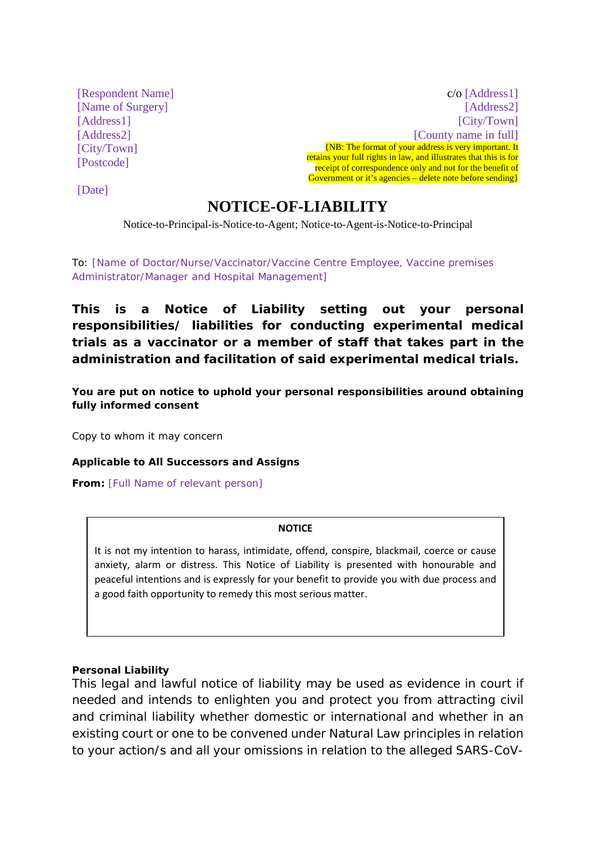[Respondent Name] [Name of Surgery] [Address1] [Address2] [City/Town] [Postcode]

c/o [Address1] [Address2] [City/Town] [County name in full] {NB: The format of your address is very important. It retains your full rights in law, and illustrates that this is for receipt of correspondence only and not for the benefit of Government or it's agencies – delete note before sending  $\}$ 

[Date]

# **NOTICE-OF-LIABILITY**

Notice-to-Principal-is-Notice-to-Agent; Notice-to-Agent-is-Notice-to-Principal

To: [Name of Doctor/Nurse/Vaccinator/Vaccine Centre Employee, Vaccine premises Administrator/Manager and Hospital Management]

**This is a Notice of Liability setting out your personal responsibilities/ liabilities for conducting experimental medical trials as a vaccinator or a member of staff that takes part in the administration and facilitation of said experimental medical trials.** 

**You are put on notice to uphold your personal responsibilities around obtaining fully informed consent** 

Copy to whom it may concern

**Applicable to All Successors and Assigns**

**From:** [Full Name of relevant person]

#### **NOTICE**

It is not my intention to harass, intimidate, offend, conspire, blackmail, coerce or cause anxiety, alarm or distress. This Notice of Liability is presented with honourable and peaceful intentions and is expressly for your benefit to provide you with due process and a good faith opportunity to remedy this most serious matter.

#### **Personal Liability**

This legal and lawful notice of liability may be used as evidence in court if needed and intends to enlighten you and protect you from attracting civil and criminal liability whether domestic or international and whether in an existing court or one to be convened under Natural Law principles in relation to your action/s and all your omissions in relation to the alleged SARS-CoV-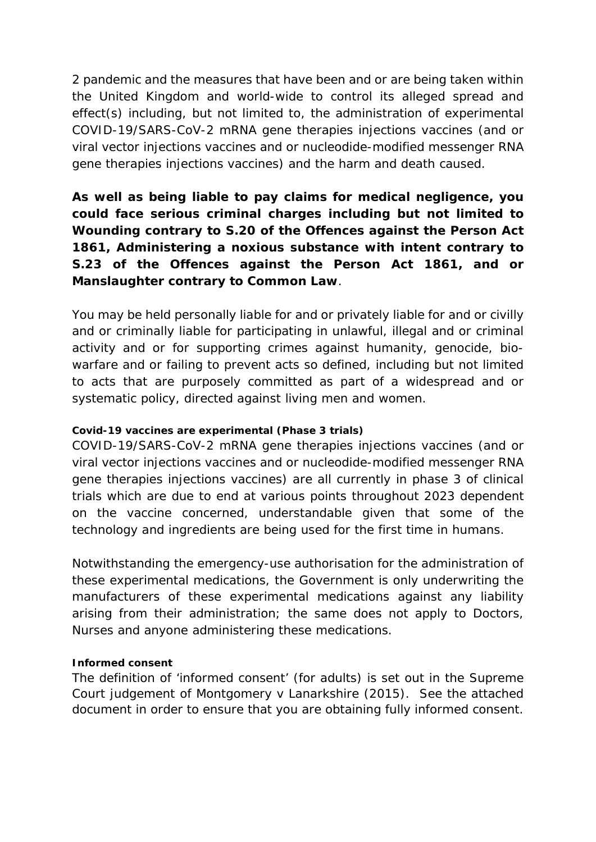2 pandemic and the measures that have been and or are being taken within the United Kingdom and world-wide to control its alleged spread and effect(s) including, but not limited to, the administration of experimental COVID-19/SARS-CoV-2 mRNA gene therapies injections vaccines (and or viral vector injections vaccines and or nucleodide-modified messenger RNA gene therapies injections vaccines) and the harm and death caused.

**As well as being liable to pay claims for medical negligence, you could face serious criminal charges including but not limited to Wounding contrary to S.20 of the Offences against the Person Act 1861, Administering a noxious substance with intent contrary to S.23 of the Offences against the Person Act 1861, and or Manslaughter contrary to Common Law**.

You may be held personally liable for and or privately liable for and or civilly and or criminally liable for participating in unlawful, illegal and or criminal activity and or for supporting crimes against humanity, genocide, biowarfare and or failing to prevent acts so defined, including but not limited to acts that are purposely committed as part of a widespread and or systematic policy, directed against living men and women.

### **Covid-19 vaccines are experimental (Phase 3 trials)**

COVID-19/SARS-CoV-2 mRNA gene therapies injections vaccines (and or viral vector injections vaccines and or nucleodide-modified messenger RNA gene therapies injections vaccines) are all currently in phase 3 of clinical trials which are due to end at various points throughout 2023 dependent on the vaccine concerned, understandable given that some of the technology and ingredients are being used for the first time in humans.

Notwithstanding the emergency-use authorisation for the administration of these experimental medications, the Government is only underwriting the manufacturers of these experimental medications against any liability arising from their administration; the same does not apply to Doctors, Nurses and anyone administering these medications.

### **Informed consent**

The definition of 'informed consent' (for adults) is set out in the Supreme Court judgement of Montgomery v Lanarkshire (2015). See the attached document in order to ensure that you are obtaining fully informed consent.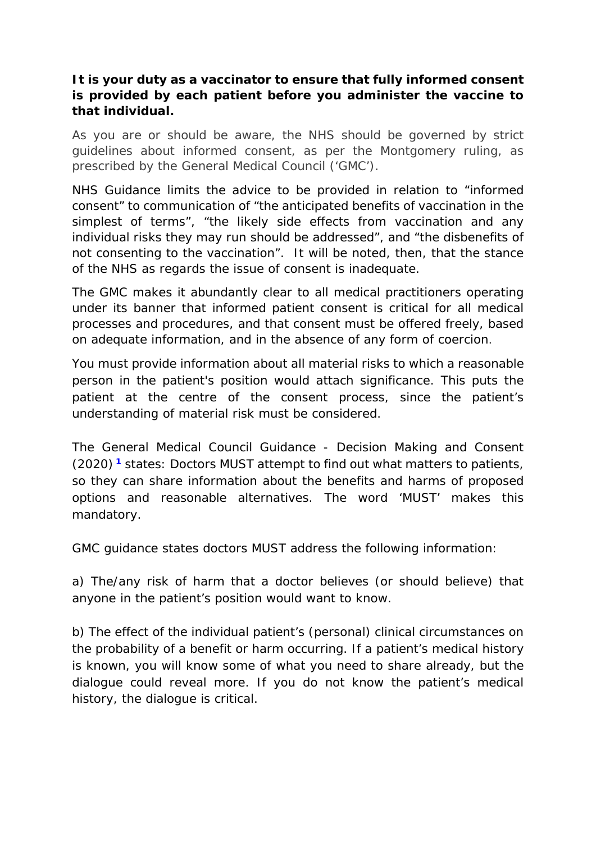## **It is your duty as a vaccinator to ensure that fully informed consent is provided by each patient before you administer the vaccine to that individual.**

As you are or should be aware, the NHS should be governed by strict guidelines about informed consent, as per the Montgomery ruling, as prescribed by the General Medical Council ('GMC').

NHS Guidance limits the advice to be provided in relation to "informed consent" to communication of "the anticipated benefits of vaccination in the simplest of terms", "the likely side effects from vaccination and any individual risks they may run should be addressed", and "the disbenefits of not consenting to the vaccination". It will be noted, then, that the stance of the NHS as regards the issue of consent is inadequate.

The GMC makes it abundantly clear to all medical practitioners operating under its banner that informed patient consent is critical for all medical processes and procedures, and that consent must be offered freely, based on adequate information, and in the absence of any form of coercion.

You must provide information about all material risks to which a reasonable person in the patient's position would attach significance. This puts the patient at the centre of the consent process, since the patient's understanding of material risk must be considered.

The General Medical Council Guidance - Decision Making and Consent (2020) **<sup>1</sup>** states: Doctors MUST attempt to find out what matters to patients, so they can share information about the benefits and harms of proposed options and reasonable alternatives. The word 'MUST' makes this mandatory.

GMC guidance states doctors MUST address the following information:

a) The/any risk of harm that a doctor believes (or should believe) that anyone in the patient's position would want to know.

b) The effect of the individual patient's (personal) clinical circumstances on the probability of a benefit or harm occurring. If a patient's medical history is known, you will know some of what you need to share already, but the dialogue could reveal more. If you do not know the patient's medical history, the dialogue is critical.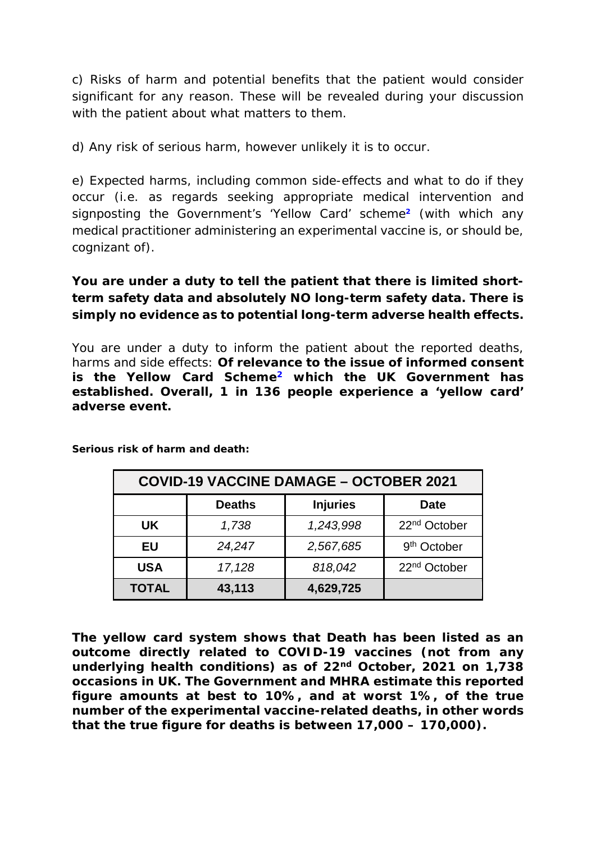c) Risks of harm and potential benefits that the patient would consider significant for any reason. These will be revealed during your discussion with the patient about what matters to them.

d) Any risk of serious harm, however unlikely it is to occur.

e) Expected harms, including common side-effects and what to do if they occur (i.e. as regards seeking appropriate medical intervention and signposting the Government's 'Yellow Card' scheme**<sup>2</sup>** (with which any medical practitioner administering an experimental vaccine is, or should be, cognizant of).

# **You are under a duty to tell the patient that there is limited shortterm safety data and absolutely NO long-term safety data. There is simply no evidence as to potential long-term adverse health effects.**

You are under a duty to inform the patient about the reported deaths, harms and side effects: **Of relevance to the issue of informed consent is the Yellow Card Scheme2 which the UK Government has established. Overall, 1 in 136 people experience a 'yellow card' adverse event.** 

| <b>COVID-19 VACCINE DAMAGE - OCTOBER 2021</b> |               |                 |                          |
|-----------------------------------------------|---------------|-----------------|--------------------------|
|                                               | <b>Deaths</b> | <b>Injuries</b> | <b>Date</b>              |
| UK.                                           | 1,738         | 1,243,998       | 22 <sup>nd</sup> October |
| EU                                            | 24,247        | 2,567,685       | 9 <sup>th</sup> October  |
| <b>USA</b>                                    | 17,128        | 818,042         | 22 <sup>nd</sup> October |
| <b>TOTAL</b>                                  | 43,113        | 4,629,725       |                          |

**Serious risk of harm and death:**

**The yellow card system shows that Death has been listed as an outcome directly related to COVID-19 vaccines (not from any underlying health conditions) as of 22nd October, 2021 on 1,738 occasions in UK. The Government and MHRA estimate this reported figure amounts at best to 10%, and at worst 1%, of the true number of the experimental vaccine-related deaths, in other words that the true figure for deaths is between 17,000 – 170,000).**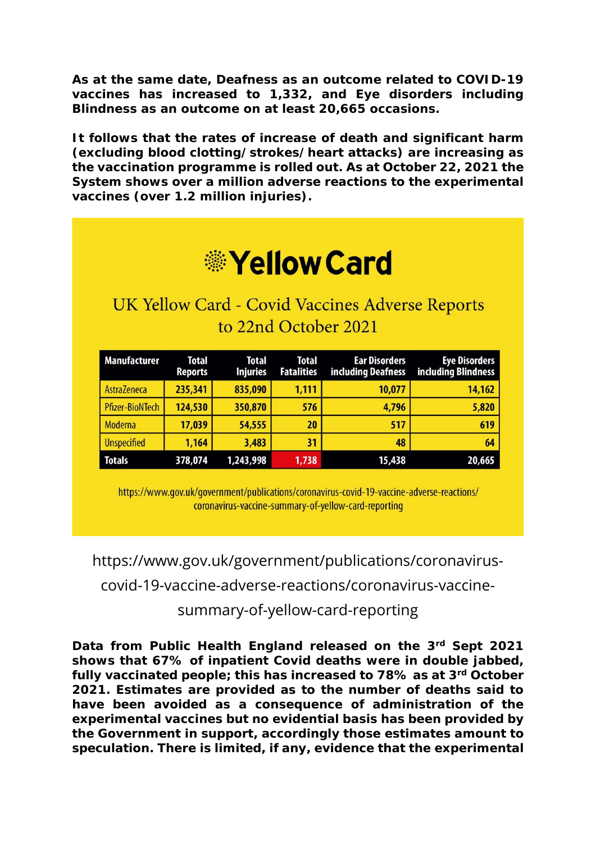**As at the same date, Deafness as an outcome related to COVID-19 vaccines has increased to 1,332, and Eye disorders including Blindness as an outcome on at least 20,665 occasions.** 

**It follows that the rates of increase of death and significant harm (excluding blood clotting/strokes/heart attacks) are increasing as the vaccination programme is rolled out. As at October 22, 2021 the System shows over a million adverse reactions to the experimental vaccines (over 1.2 million injuries).** 

| UK Yellow Card - Covid Vaccines Adverse Reports |                         |                          |                                   |                                            |                                                    |
|-------------------------------------------------|-------------------------|--------------------------|-----------------------------------|--------------------------------------------|----------------------------------------------------|
| to 22nd October 2021                            |                         |                          |                                   |                                            |                                                    |
|                                                 |                         |                          |                                   |                                            |                                                    |
| <b>Manufacturer</b>                             | Total<br><b>Reports</b> | Total<br><b>Injuries</b> | <b>Total</b><br><b>Fatalities</b> | <b>Ear Disorders</b><br>including Deafness | <b>Eye Disorders</b><br><b>including Blindness</b> |
|                                                 |                         |                          |                                   |                                            |                                                    |
| AstraZeneca                                     | 235,341                 | 835,090                  | 1,111                             | 10,077                                     |                                                    |
| <b>Pfizer-BioNTech</b>                          | 124,530                 | 350,870                  | 576                               | 4,796                                      |                                                    |
| Moderna                                         | 17,039                  | 54,555                   | 20                                | 517                                        | 14,162<br>5,820<br>619                             |
| <b>Unspecified</b>                              | 1,164                   | 3,483                    | 31                                | 48                                         | 64                                                 |

https://www.gov.uk/government/publications/coronavirus-covid-19-vaccine-adverse-reactions/ coronavirus-vaccine-summary-of-yellow-card-reporting

https://www.gov.uk/government/publications/coronaviruscovid-19-vaccine-adverse-reactions/coronavirus-vaccinesummary-of-yellow-card-reporting

**Data from Public Health England released on the 3rd Sept 2021 shows that 67% of inpatient Covid deaths were in double jabbed, fully vaccinated people; this has increased to 78% as at 3rd October 2021. Estimates are provided as to the number of deaths said to have been avoided as a consequence of administration of the experimental vaccines but no evidential basis has been provided by the Government in support, accordingly those estimates amount to speculation. There is limited, if any, evidence that the experimental**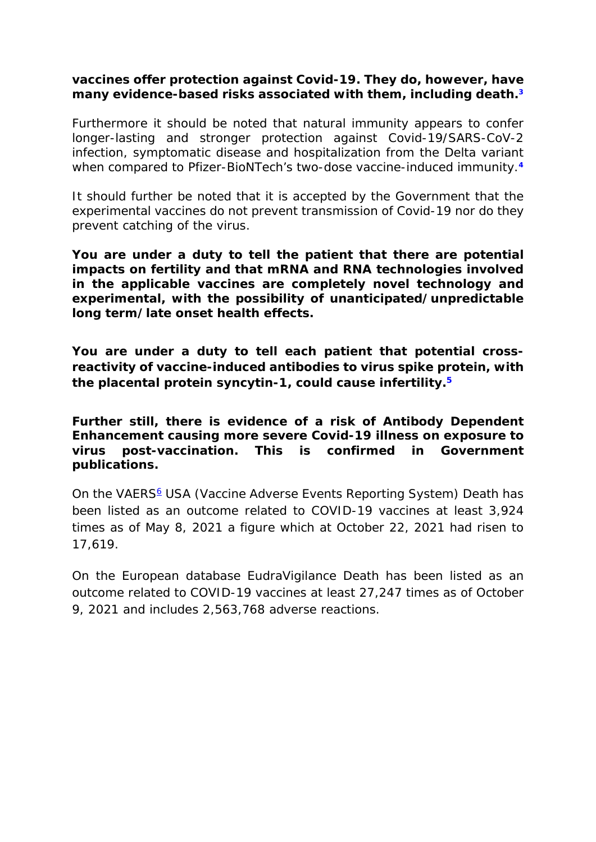### **vaccines offer protection against Covid-19. They do, however, have many evidence-based risks associated with them, including death.3**

Furthermore it should be noted that natural immunity appears to confer longer-lasting and stronger protection against Covid-19/SARS-CoV-2 infection, symptomatic disease and hospitalization from the Delta variant when compared to Pfizer-BioNTech's two-dose vaccine-induced immunity.**<sup>4</sup>**

It should further be noted that it is accepted by the Government that the experimental vaccines do not prevent transmission of Covid-19 nor do they prevent catching of the virus.

**You are under a duty to tell the patient that there are potential impacts on fertility and that mRNA and RNA technologies involved in the applicable vaccines are completely novel technology and experimental, with the possibility of unanticipated/unpredictable long term/late onset health effects.** 

**You are under a duty to tell each patient that potential crossreactivity of vaccine-induced antibodies to virus spike protein, with the placental protein syncytin-1, could cause infertility.5**

**Further still, there is evidence of a risk of Antibody Dependent Enhancement causing more severe Covid-19 illness on exposure to virus post-vaccination. This is confirmed in Government publications.**

On the VAERS<sup>6</sup> USA (Vaccine Adverse Events Reporting System) Death has been listed as an outcome related to COVID-19 vaccines at least 3,924 times as of May 8, 2021 a figure which at October 22, 2021 had risen to 17,619.

On the European database EudraVigilance Death has been listed as an outcome related to COVID-19 vaccines at least 27,247 times as of October 9, 2021 and includes 2,563,768 adverse reactions.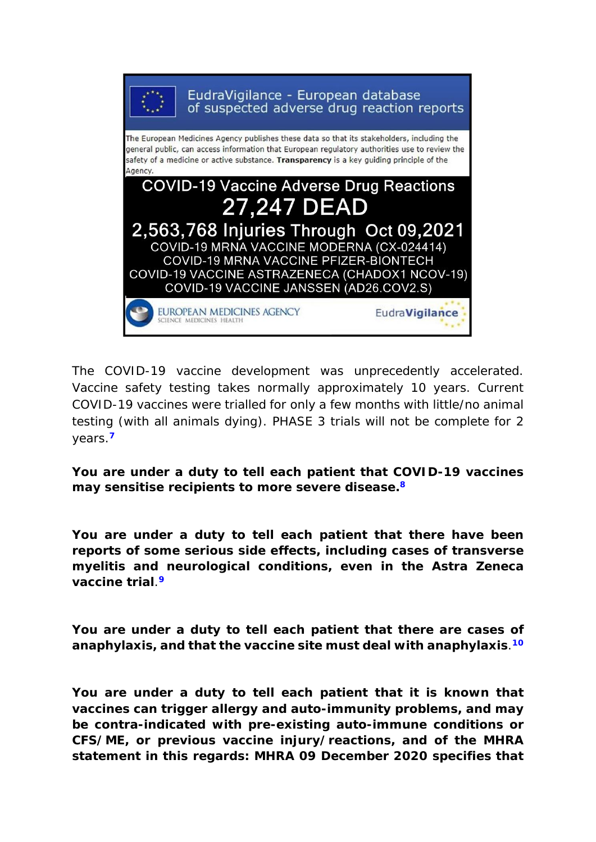

The COVID-19 vaccine development was unprecedently accelerated. Vaccine safety testing takes normally approximately 10 years. Current COVID-19 vaccines were trialled for only a few months with little/no animal testing (with all animals dying). PHASE 3 trials will not be complete for 2 years.**<sup>7</sup>**

**You are under a duty to tell each patient that COVID-19 vaccines may sensitise recipients to more severe disease.8**

**You are under a duty to tell each patient that there have been reports of some serious side effects, including cases of transverse myelitis and neurological conditions, even in the Astra Zeneca vaccine trial**.**<sup>9</sup>**

**You are under a duty to tell each patient that there are cases of anaphylaxis, and that the vaccine site must deal with anaphylaxis**.**<sup>10</sup>**

**You are under a duty to tell each patient that it is known that vaccines can trigger allergy and auto-immunity problems, and may be contra-indicated with pre-existing auto-immune conditions or CFS/ME, or previous vaccine injury/reactions, and of the MHRA statement in this regards: MHRA 09 December 2020 specifies that**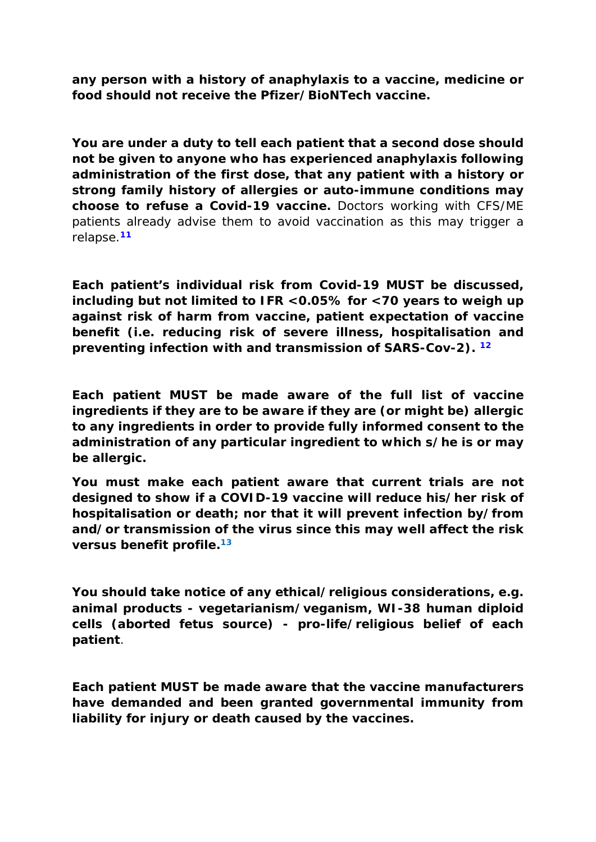**any person with a history of anaphylaxis to a vaccine, medicine or food should not receive the Pfizer/BioNTech vaccine.** 

**You are under a duty to tell each patient that a second dose should not be given to anyone who has experienced anaphylaxis following administration of the first dose, that any patient with a history or strong family history of allergies or auto-immune conditions may choose to refuse a Covid-19 vaccine.** Doctors working with CFS/ME patients already advise them to avoid vaccination as this may trigger a relapse.**<sup>11</sup>**

**Each patient's individual risk from Covid-19 MUST be discussed, including but not limited to IFR <0.05% for <70 years to weigh up against risk of harm from vaccine, patient expectation of vaccine benefit (i.e. reducing risk of severe illness, hospitalisation and preventing infection with and transmission of SARS-Cov-2). <sup>12</sup>**

**Each patient MUST be made aware of the full list of vaccine ingredients if they are to be aware if they are (or might be) allergic to any ingredients in order to provide fully informed consent to the administration of any particular ingredient to which s/he is or may be allergic.**

**You must make each patient aware that current trials are not designed to show if a COVID-19 vaccine will reduce his/her risk of hospitalisation or death; nor that it will prevent infection by/from and/or transmission of the virus since this may well affect the risk versus benefit profile.13**

**You should take notice of any ethical/religious considerations, e.g. animal products - vegetarianism/veganism, WI-38 human diploid cells (aborted fetus source) - pro-life/religious belief of each patient**.

**Each patient MUST be made aware that the vaccine manufacturers have demanded and been granted governmental immunity from liability for injury or death caused by the vaccines.**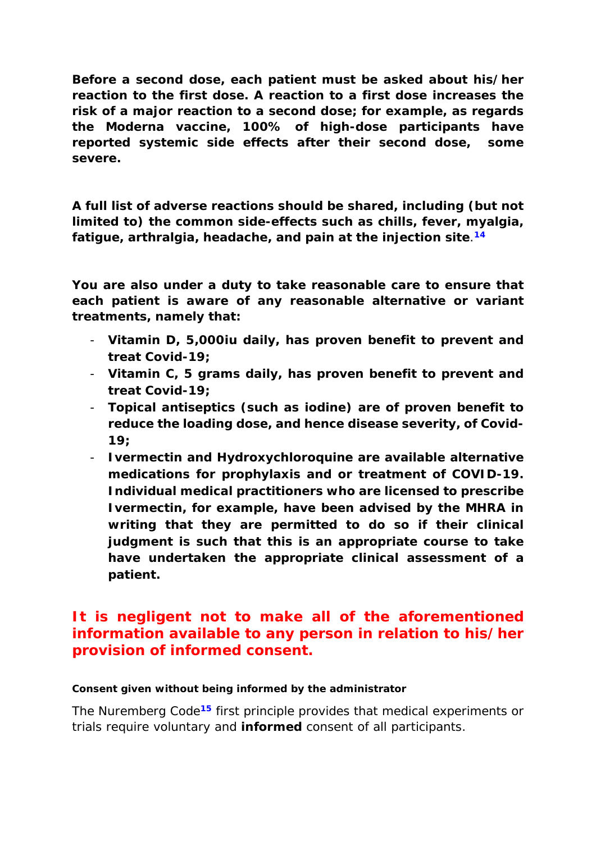**Before a second dose, each patient must be asked about his/her reaction to the first dose. A reaction to a first dose increases the risk of a major reaction to a second dose; for example, as regards the Moderna vaccine, 100% of high-dose participants have reported systemic side effects after their second dose, some severe.**

**A full list of adverse reactions should be shared, including (but not limited to) the common side-effects such as chills, fever, myalgia, fatigue, arthralgia, headache, and pain at the injection site**.**<sup>14</sup>**

**You are also under a duty to take reasonable care to ensure that each patient is aware of any reasonable alternative or variant treatments, namely that:**

- **Vitamin D, 5,000iu daily, has proven benefit to prevent and treat Covid-19;**
- **Vitamin C, 5 grams daily, has proven benefit to prevent and treat Covid-19;**
- **Topical antiseptics (such as iodine) are of proven benefit to reduce the loading dose, and hence disease severity, of Covid-19;**
- **Ivermectin and Hydroxychloroquine are available alternative medications for prophylaxis and or treatment of COVID-19. Individual medical practitioners who are licensed to prescribe Ivermectin, for example, have been advised by the MHRA in writing that they are permitted to do so if their clinical judgment is such that this is an appropriate course to take have undertaken the appropriate clinical assessment of a patient.**

# **It is negligent not to make all of the aforementioned information available to any person in relation to his/her provision of informed consent.**

### **Consent given without being informed by the administrator**

The Nuremberg Code**<sup>15</sup>** first principle provides that medical experiments or trials require voluntary and **informed** consent of all participants.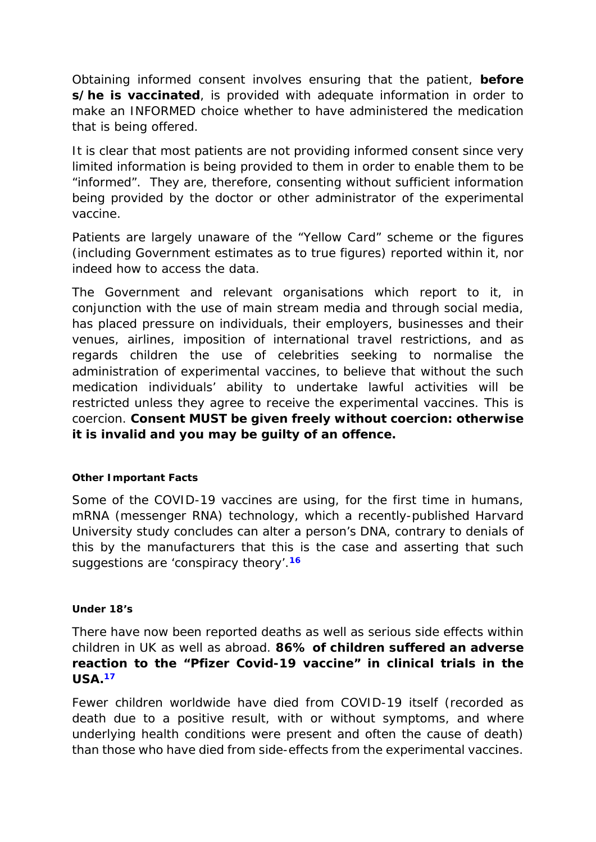Obtaining informed consent involves ensuring that the patient, **before s/he is vaccinated**, is provided with adequate information in order to make an INFORMED choice whether to have administered the medication that is being offered.

It is clear that most patients are not providing informed consent since very limited information is being provided to them in order to enable them to be "informed". They are, therefore, consenting without sufficient information being provided by the doctor or other administrator of the experimental vaccine.

Patients are largely unaware of the "Yellow Card" scheme or the figures (including Government estimates as to true figures) reported within it, nor indeed how to access the data.

The Government and relevant organisations which report to it, in conjunction with the use of main stream media and through social media, has placed pressure on individuals, their employers, businesses and their venues, airlines, imposition of international travel restrictions, and as regards children the use of celebrities seeking to normalise the administration of experimental vaccines, to believe that without the such medication individuals' ability to undertake lawful activities will be restricted unless they agree to receive the experimental vaccines. This is coercion. **Consent MUST be given freely without coercion: otherwise it is invalid and you may be guilty of an offence.**

### **Other Important Facts**

Some of the COVID-19 vaccines are using, for the first time in humans, mRNA (messenger RNA) technology, which a recently-published Harvard University study concludes can alter a person's DNA, contrary to denials of this by the manufacturers that this is the case and asserting that such suggestions are 'conspiracy theory'.**<sup>16</sup>**

### **Under 18's**

There have now been reported deaths as well as serious side effects within children in UK as well as abroad. **86% of children suffered an adverse reaction to the "Pfizer Covid-19 vaccine" in clinical trials in the USA.17**

Fewer children worldwide have died from COVID-19 itself (recorded as death due to a positive result, with or without symptoms, and where underlying health conditions were present and often the cause of death) than those who have died from side-effects from the experimental vaccines.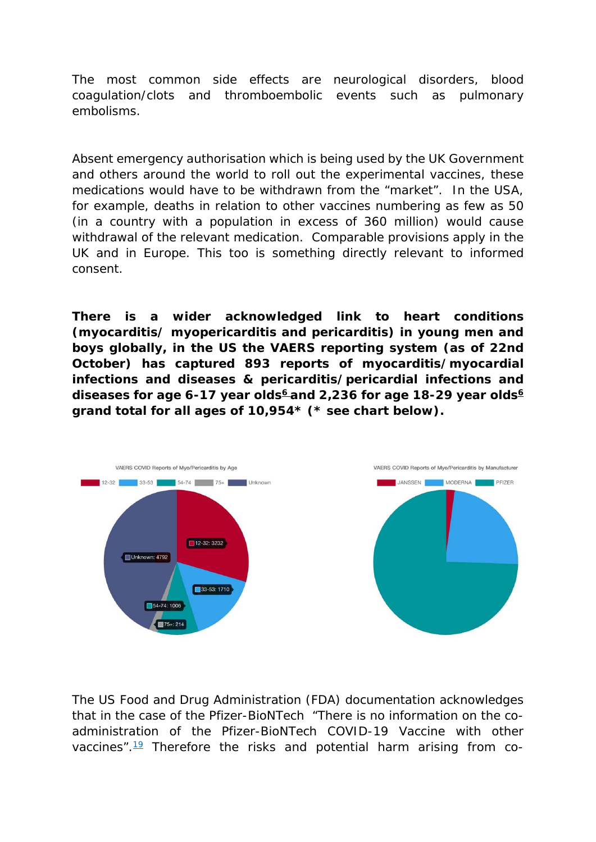The most common side effects are neurological disorders, blood coagulation/clots and thromboembolic events such as pulmonary embolisms.

Absent emergency authorisation which is being used by the UK Government and others around the world to roll out the experimental vaccines, these medications would have to be withdrawn from the "market". In the USA, for example, deaths in relation to other vaccines numbering as few as 50 (in a country with a population in excess of 360 million) would cause withdrawal of the relevant medication. Comparable provisions apply in the UK and in Europe. This too is something directly relevant to informed consent.

**There is a wider acknowledged link to heart conditions (myocarditis/ myopericarditis and pericarditis) in young men and boys globally, in the US the VAERS reporting system (as of 22nd October) has captured 893 reports of myocarditis/myocardial infections and diseases & pericarditis/pericardial infections and**  diseases for age 6-17 year olds<sup>6</sup> and 2,236 for age 18-29 year olds<sup>6</sup> **grand total for all ages of 10,954\* (\* see chart below).**



The US Food and Drug Administration (FDA) documentation acknowledges that in the case of the Pfizer-BioNTech *"There is no information on the co*administration of the Pfizer-BioNTech COVID-19 Vaccine with other *vaccines".*<sup>19</sup> Therefore the risks and potential harm arising from co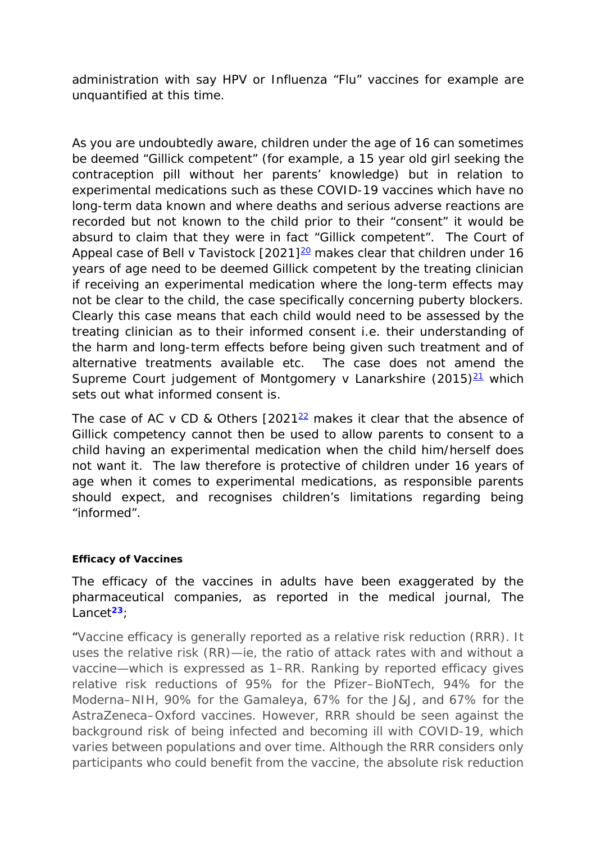administration with say HPV or Influenza "Flu" vaccines for example are unquantified at this time.

As you are undoubtedly aware, children under the age of 16 can sometimes be deemed "Gillick competent" (for example, a 15 year old girl seeking the contraception pill without her parents' knowledge) but in relation to experimental medications such as these COVID-19 vaccines which have no long-term data known and where deaths and serious adverse reactions are recorded but not known to the child prior to their "consent" it would be absurd to claim that they were in fact "Gillick competent". The Court of Appeal case of Bell v Tavistock  $[2021]^{20}$  makes clear that children under 16 years of age need to be deemed Gillick competent by the treating clinician if receiving an experimental medication where the long-term effects may not be clear to the child, the case specifically concerning puberty blockers. Clearly this case means that each child would need to be assessed by the treating clinician as to their informed consent i.e. their understanding of the harm and long-term effects before being given such treatment and of alternative treatments available etc. The case does not amend the Supreme Court judgement of Montgomery v Lanarkshire  $(2015)^{21}$  which sets out what informed consent is.

The case of AC v CD & Others  $[2021<sup>22</sup>$  makes it clear that the absence of Gillick competency cannot then be used to allow parents to consent to a child having an experimental medication when the child him/herself does not want it. The law therefore is protective of children under 16 years of age when it comes to experimental medications, as responsible parents should expect, and recognises children's limitations regarding being "informed".

### **Efficacy of Vaccines**

The efficacy of the vaccines in adults have been exaggerated by the pharmaceutical companies, as reported in the medical journal, The Lancet**<sup>23</sup>**;

*"Vaccine efficacy is generally reported as a relative risk reduction (RRR). It uses the relative risk (RR)—ie, the ratio of attack rates with and without a vaccine—which is expressed as 1–RR. Ranking by reported efficacy gives relative risk reductions of 95% for the Pfizer–BioNTech, 94% for the Moderna–NIH, 90% for the Gamaleya, 67% for the J&J, and 67% for the AstraZeneca–Oxford vaccines. However, RRR should be seen against the background risk of being infected and becoming ill with COVID-19, which varies between populations and over time. Although the RRR considers only participants who could benefit from the vaccine, the absolute risk reduction*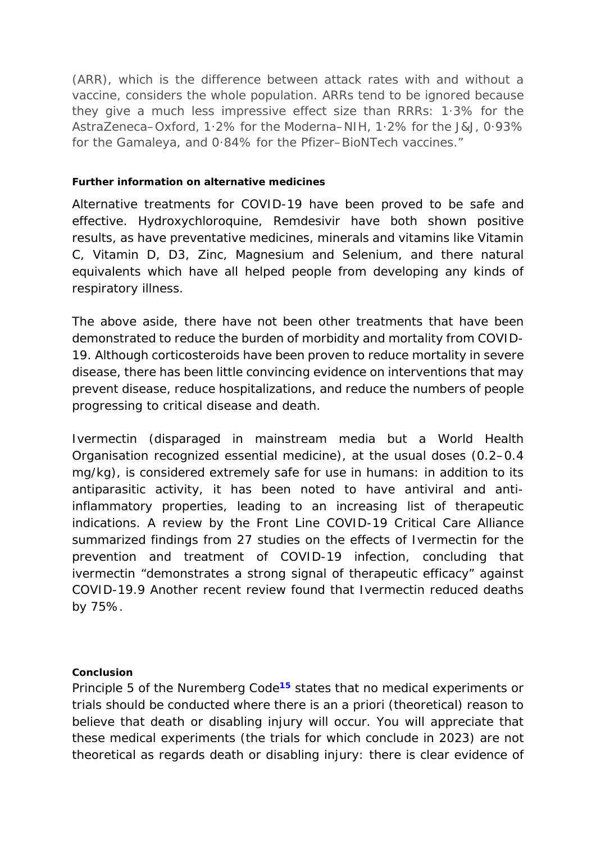*(ARR), which is the difference between attack rates with and without a vaccine, considers the whole population. ARRs tend to be ignored because they give a much less impressive effect size than RRRs: 1·3% for the AstraZeneca–Oxford, 1·2% for the Moderna–NIH, 1·2% for the J&J, 0·93% for the Gamaleya, and 0·84% for the Pfizer–BioNTech vaccines."*

### **Further information on alternative medicines**

Alternative treatments for COVID-19 have been proved to be safe and effective. Hydroxychloroquine, Remdesivir have both shown positive results, as have preventative medicines, minerals and vitamins like Vitamin C, Vitamin D, D3, Zinc, Magnesium and Selenium, and there natural equivalents which have all helped people from developing any kinds of respiratory illness.

The above aside, there have not been other treatments that have been demonstrated to reduce the burden of morbidity and mortality from COVID-19. Although corticosteroids have been proven to reduce mortality in severe disease, there has been little convincing evidence on interventions that may prevent disease, reduce hospitalizations, and reduce the numbers of people progressing to critical disease and death.

Ivermectin (disparaged in mainstream media but a World Health Organisation recognized essential medicine), at the usual doses (0.2–0.4 mg/kg), is considered extremely safe for use in humans: in addition to its antiparasitic activity, it has been noted to have antiviral and antiinflammatory properties, leading to an increasing list of therapeutic indications. A review by the Front Line COVID-19 Critical Care Alliance summarized findings from 27 studies on the effects of Ivermectin for the prevention and treatment of COVID-19 infection, concluding that ivermectin "demonstrates a strong signal of therapeutic efficacy" against COVID-19.9 Another recent review found that Ivermectin reduced deaths by 75%.

### **Conclusion**

Principle 5 of the Nuremberg Code**<sup>15</sup>** states that no medical experiments or trials should be conducted where there is an *a priori* (theoretical) reason to believe that death or disabling injury will occur. You will appreciate that these medical experiments (the trials for which conclude in 2023) are not theoretical as regards death or disabling injury: there is clear evidence of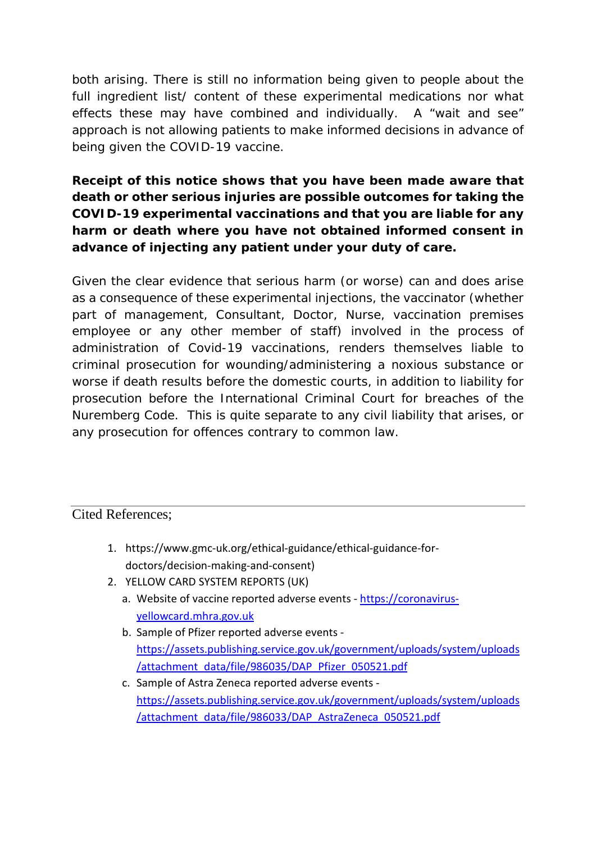both arising. There is still no information being given to people about the full ingredient list/ content of these experimental medications nor what effects these may have combined and individually. A "wait and see" approach is not allowing patients to make informed decisions in advance of being given the COVID-19 vaccine.

# **Receipt of this notice shows that you have been made aware that death or other serious injuries are possible outcomes for taking the COVID-19 experimental vaccinations and that you are liable for any harm or death where you have not obtained informed consent in advance of injecting any patient under your duty of care.**

Given the clear evidence that serious harm (or worse) can and does arise as a consequence of these experimental injections, the vaccinator (whether part of management, Consultant, Doctor, Nurse, vaccination premises employee or any other member of staff) involved in the process of administration of Covid-19 vaccinations, renders themselves liable to criminal prosecution for wounding/administering a noxious substance or worse if death results before the domestic courts, in addition to liability for prosecution before the International Criminal Court for breaches of the Nuremberg Code. This is quite separate to any civil liability that arises, or any prosecution for offences contrary to common law.

### Cited References;

- 1. https://www.gmc-uk.org/ethical-guidance/ethical-guidance-fordoctors/decision-making-and-consent)
- 2. YELLOW CARD SYSTEM REPORTS (UK)
	- a. Website of vaccine reported adverse events [https://coronavirus](https://coronavirus-yellowcard.mhra.gov.uk/)[yellowcard.mhra.gov.uk](https://coronavirus-yellowcard.mhra.gov.uk/)
	- b. Sample of Pfizer reported adverse events [https://assets.publishing.service.gov.uk/government/uploads/system/uploads](https://assets.publishing.service.gov.uk/government/uploads/system/uploads/attachment_data/file/986035/DAP_Pfizer_050521.pdf) [/attachment\\_data/file/986035/DAP\\_Pfizer\\_050521.pdf](https://assets.publishing.service.gov.uk/government/uploads/system/uploads/attachment_data/file/986035/DAP_Pfizer_050521.pdf)
	- c. Sample of Astra Zeneca reported adverse events [https://assets.publishing.service.gov.uk/government/uploads/system/uploads](https://assets.publishing.service.gov.uk/government/uploads/system/uploads/attachment_data/file/986033/DAP_AstraZeneca_050521.pdf) [/attachment\\_data/file/986033/DAP\\_AstraZeneca\\_050521.pdf](https://assets.publishing.service.gov.uk/government/uploads/system/uploads/attachment_data/file/986033/DAP_AstraZeneca_050521.pdf)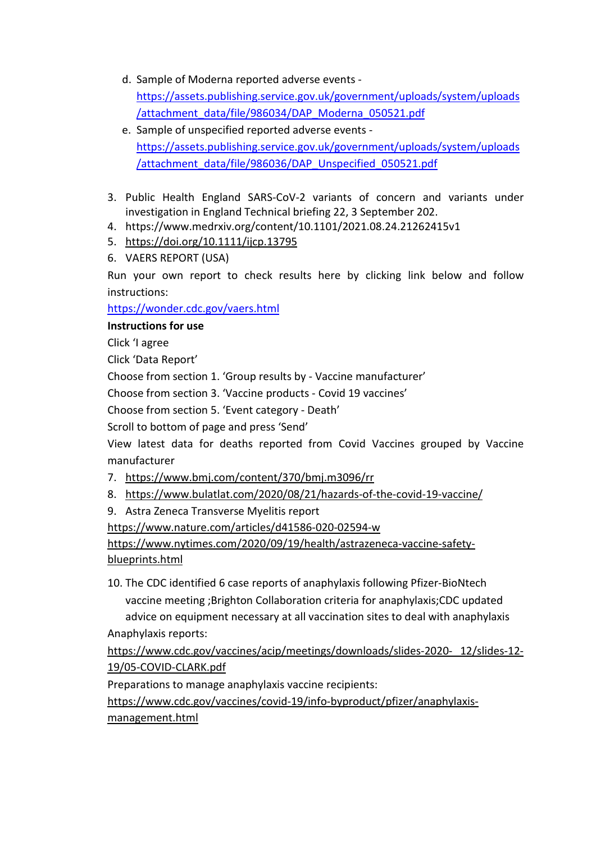- d. Sample of Moderna reported adverse events [https://assets.publishing.service.gov.uk/government/uploads/system/uploads](https://assets.publishing.service.gov.uk/government/uploads/system/uploads/attachment_data/file/986034/DAP_Moderna_050521.pdf) [/attachment\\_data/file/986034/DAP\\_Moderna\\_050521.pdf](https://assets.publishing.service.gov.uk/government/uploads/system/uploads/attachment_data/file/986034/DAP_Moderna_050521.pdf)
- e. Sample of unspecified reported adverse events [https://assets.publishing.service.gov.uk/government/uploads/system/uploads](https://assets.publishing.service.gov.uk/government/uploads/system/uploads/attachment_data/file/986036/DAP_Unspecified_050521.pdf) [/attachment\\_data/file/986036/DAP\\_Unspecified\\_050521.pdf](https://assets.publishing.service.gov.uk/government/uploads/system/uploads/attachment_data/file/986036/DAP_Unspecified_050521.pdf)
- 3. Public Health England SARS-CoV-2 variants of concern and variants under investigation in England Technical briefing 22, 3 September 202.
- 4. https://www.medrxiv.org/content/10.1101/2021.08.24.21262415v1
- 5. <https://doi.org/10.1111/ijcp.13795>
- <span id="page-14-0"></span>6. VAERS REPORT (USA)

Run your own report to check results here by clicking link below and follow instructions:

<https://wonder.cdc.gov/vaers.html>

### **Instructions for use**

Click 'I agree

Click 'Data Report'

Choose from section 1. 'Group results by - Vaccine manufacturer'

Choose from section 3. 'Vaccine products - Covid 19 vaccines'

Choose from section 5. 'Event category - Death'

Scroll to bottom of page and press 'Send'

View latest data for deaths reported from Covid Vaccines grouped by Vaccine manufacturer

- 7. <https://www.bmj.com/content/370/bmj.m3096/rr>
- 8. <https://www.bulatlat.com/2020/08/21/hazards-of-the-covid-19-vaccine/>
- 9. Astra Zeneca Transverse Myelitis report

<https://www.nature.com/articles/d41586-020-02594-w>

[https://www.nytimes.com/2020/09/19/health/astrazeneca-vaccine-safety](https://www.nytimes.com/2020/09/19/health/astrazeneca-vaccine-safety-blueprints.html)[blueprints.html](https://www.nytimes.com/2020/09/19/health/astrazeneca-vaccine-safety-blueprints.html)

10. The CDC identified 6 case reports of anaphylaxis following Pfizer-BioNtech vaccine meeting ;Brighton Collaboration criteria for anaphylaxis;CDC updated advice on equipment necessary at all vaccination sites to deal with anaphylaxis Anaphylaxis reports:

[https://www.cdc.gov/vaccines/acip/meetings/downloads/slides-2020-](https://www.cdc.gov/vaccines/acip/meetings/downloads/slides-2020-%2012/slides-12-19/05-COVID-CLARK.pdf) 12/slides-12- [19/05-COVID-CLARK.pdf](https://www.cdc.gov/vaccines/acip/meetings/downloads/slides-2020-%2012/slides-12-19/05-COVID-CLARK.pdf)

Preparations to manage anaphylaxis vaccine recipients:

[https://www.cdc.gov/vaccines/covid-19/info-byproduct/pfizer/anaphylaxis](https://www.cdc.gov/vaccines/covid-19/info-byproduct/pfizer/anaphylaxis-management.html)[management.html](https://www.cdc.gov/vaccines/covid-19/info-byproduct/pfizer/anaphylaxis-management.html)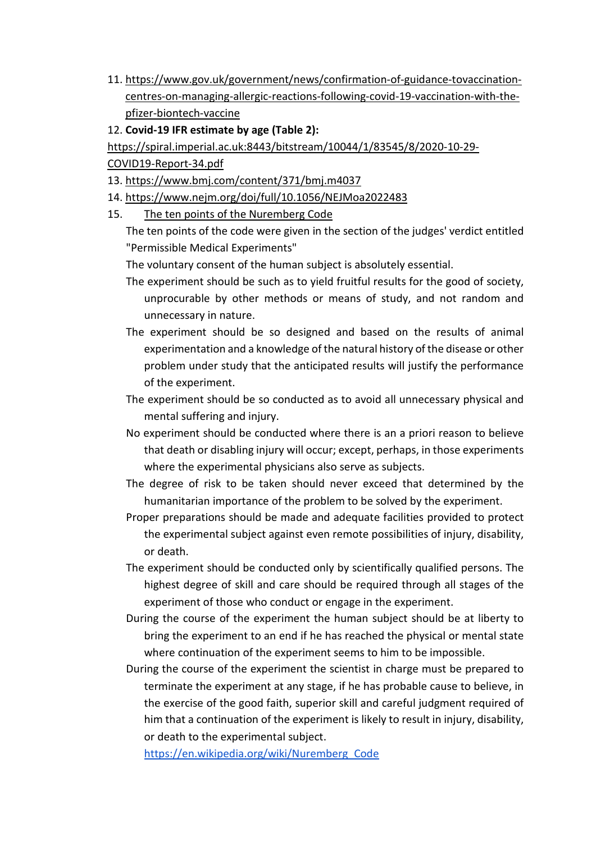- 11. [https://www.gov.uk/government/news/confirmation-of-guidance-tovaccination](https://www.gov.uk/government/news/confirmation-of-guidance-tovaccination-centres-on-managing-allergic-reactions-following-covid-19-vaccination-with-the-pfizer-biontech-vaccine)[centres-on-managing-allergic-reactions-following-covid-19-vaccination-with-the](https://www.gov.uk/government/news/confirmation-of-guidance-tovaccination-centres-on-managing-allergic-reactions-following-covid-19-vaccination-with-the-pfizer-biontech-vaccine)[pfizer-biontech-vaccine](https://www.gov.uk/government/news/confirmation-of-guidance-tovaccination-centres-on-managing-allergic-reactions-following-covid-19-vaccination-with-the-pfizer-biontech-vaccine)
- 12. **Covid-19 IFR estimate by age (Table 2):**

[https://spiral.imperial.ac.uk:8443/bitstream/10044/1/83545/8/2020-10-29-](https://spiral.imperial.ac.uk:8443/bitstream/10044/1/83545/8/2020-10-29-COVID19-Report-34.pdf)

[COVID19-Report-34.pdf](https://spiral.imperial.ac.uk:8443/bitstream/10044/1/83545/8/2020-10-29-COVID19-Report-34.pdf)

- 13. <https://www.bmj.com/content/371/bmj.m4037>
- 14. <https://www.nejm.org/doi/full/10.1056/NEJMoa2022483>
- 15. The ten points of the Nuremberg Code

The ten points of the code were given in the section of the judges' [verdict](https://en.wikipedia.org/wiki/Verdict) entitled "Permissible Medical Experiments"

The voluntary consent of the human subject is absolutely essential.

- The experiment should be such as to yield fruitful results for the good of society, unprocurable by other methods or means of study, and not random and unnecessary in nature.
- The experiment should be so designed and based on the results of animal experimentation and a knowledge of the natural history of the disease or other problem under study that the anticipated results will justify the performance of the experiment.
- The experiment should be so conducted as to avoid all unnecessary physical and mental suffering and injury.
- No experiment should be conducted where there is an a priori reason to believe that death or disabling injury will occur; except, perhaps, in those experiments where the experimental physicians also serve as subjects.
- The degree of risk to be taken should never exceed that determined by the humanitarian importance of the problem to be solved by the experiment.
- Proper preparations should be made and adequate facilities provided to protect the experimental subject against even remote possibilities of injury, disability, or death.
- The experiment should be conducted only by scientifically qualified persons. The highest degree of skill and care should be required through all stages of the experiment of those who conduct or engage in the experiment.
- During the course of the experiment the human subject should be at liberty to bring the experiment to an end if he has reached the physical or mental state where continuation of the experiment seems to him to be impossible.
- During the course of the experiment the scientist in charge must be prepared to terminate the experiment at any stage, if he has probable cause to believe, in the exercise of the good faith, superior skill and careful judgment required of him that a continuation of the experiment is likely to result in injury, disability, or death to the experimental subject.

[https://en.wikipedia.org/wiki/Nuremberg\\_Code](https://en.wikipedia.org/wiki/Nuremberg_Code)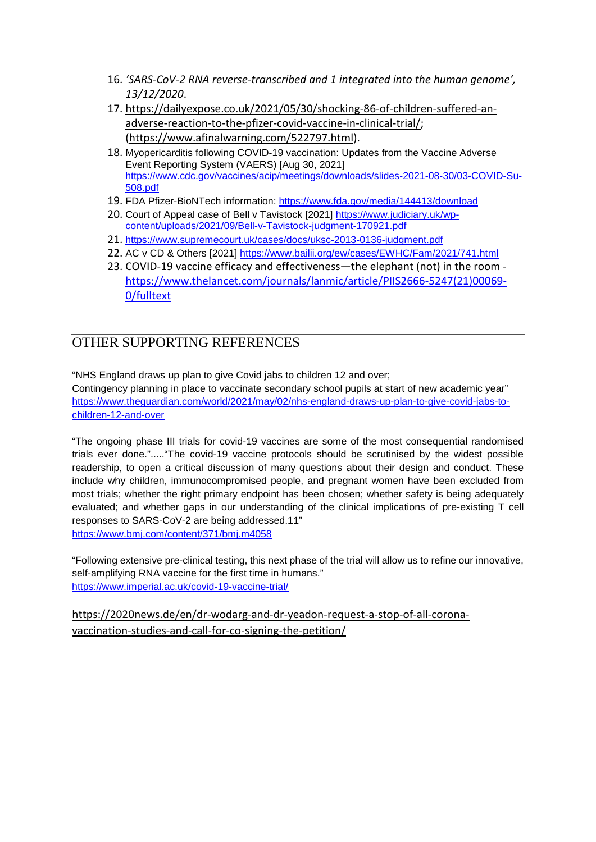- 16. *'SARS-CoV-2 RNA reverse-transcribed and 1 integrated into the human genome', 13/12/2020*.
- 17. [https://dailyexpose.co.uk/2021/05/30/shocking-86-of-children-suffered-an](https://dailyexpose.co.uk/2021/05/30/shocking-86-of-children-suffered-an-adverse-reaction-to-the-pfizer-covid-vaccine-in-clinical-trial/)[adverse-reaction-to-the-pfizer-covid-vaccine-in-clinical-trial/;](https://dailyexpose.co.uk/2021/05/30/shocking-86-of-children-suffered-an-adverse-reaction-to-the-pfizer-covid-vaccine-in-clinical-trial/) [\(https://www.afinalwarning.com/522797.html\)](https://www.afinalwarning.com/522797.html).
- 18. Myopericarditis following COVID-19 vaccination: Updates from the Vaccine Adverse Event Reporting System (VAERS) [Aug 30, 2021] [https://www.cdc.gov/vaccines/acip/meetings/downloads/slides-2021-08-30/03-COVID-Su-](https://www.cdc.gov/vaccines/acip/meetings/downloads/slides-2021-08-30/03-COVID-Su-508.pdf)[508.pdf](https://www.cdc.gov/vaccines/acip/meetings/downloads/slides-2021-08-30/03-COVID-Su-508.pdf)
- 19. FDA Pfizer-BioNTech information:<https://www.fda.gov/media/144413/download>
- 20. Court of Appeal case of Bell v Tavistock [2021] [https://www.judiciary.uk/wp](https://www.judiciary.uk/wp-content/uploads/2021/09/Bell-v-Tavistock-judgment-170921.pdf)[content/uploads/2021/09/Bell-v-Tavistock-judgment-170921.pdf](https://www.judiciary.uk/wp-content/uploads/2021/09/Bell-v-Tavistock-judgment-170921.pdf)
- 21. <https://www.supremecourt.uk/cases/docs/uksc-2013-0136-judgment.pdf>
- 22. AC v CD & Others [2021]<https://www.bailii.org/ew/cases/EWHC/Fam/2021/741.html>
- 23. COVID-19 vaccine efficacy and effectiveness—the elephant (not) in the room [https://www.thelancet.com/journals/lanmic/article/PIIS2666-5247\(21\)00069-](https://www.thelancet.com/journals/lanmic/article/PIIS2666-5247(21)00069-0/fulltext) [0/fulltext](https://www.thelancet.com/journals/lanmic/article/PIIS2666-5247(21)00069-0/fulltext)

# OTHER SUPPORTING REFERENCES

"NHS England draws up plan to give Covid jabs to children 12 and over;

Contingency planning in place to vaccinate secondary school pupils at start of new academic year" [https://www.theguardian.com/world/2021/may/02/nhs-england-draws-up-plan-to-give-covid-jabs-to](https://www.theguardian.com/world/2021/may/02/nhs-england-draws-up-plan-to-give-covid-jabs-to-children-12-and-over)[children-12-and-over](https://www.theguardian.com/world/2021/may/02/nhs-england-draws-up-plan-to-give-covid-jabs-to-children-12-and-over)

"The ongoing phase III trials for covid-19 vaccines are some of the most consequential randomised trials ever done."....."The covid-19 vaccine protocols should be scrutinised by the widest possible readership, to open a critical discussion of many questions about their design and conduct. These include why children, immunocompromised people, and pregnant women have been excluded from most trials; whether the right primary endpoint has been chosen; whether safety is being adequately evaluated; and whether gaps in our understanding of the clinical implications of pre-existing T cell responses to SARS-CoV-2 are being addressed.11" <https://www.bmj.com/content/371/bmj.m4058>

"Following extensive pre-clinical testing, this next phase of the trial will allow us to refine our innovative, self-amplifying RNA vaccine for the first time in humans." <https://www.imperial.ac.uk/covid-19-vaccine-trial/>

[https://2020news.de/en/dr-wodarg-and-dr-yeadon-request-a-stop-of-all-corona](https://2020news.de/en/dr-wodarg-and-dr-yeadon-request-a-stop-of-all-corona-vaccination-studies-and-call-for-co-signing-the-petition/)[vaccination-studies-and-call-for-co-signing-the-petition/](https://2020news.de/en/dr-wodarg-and-dr-yeadon-request-a-stop-of-all-corona-vaccination-studies-and-call-for-co-signing-the-petition/)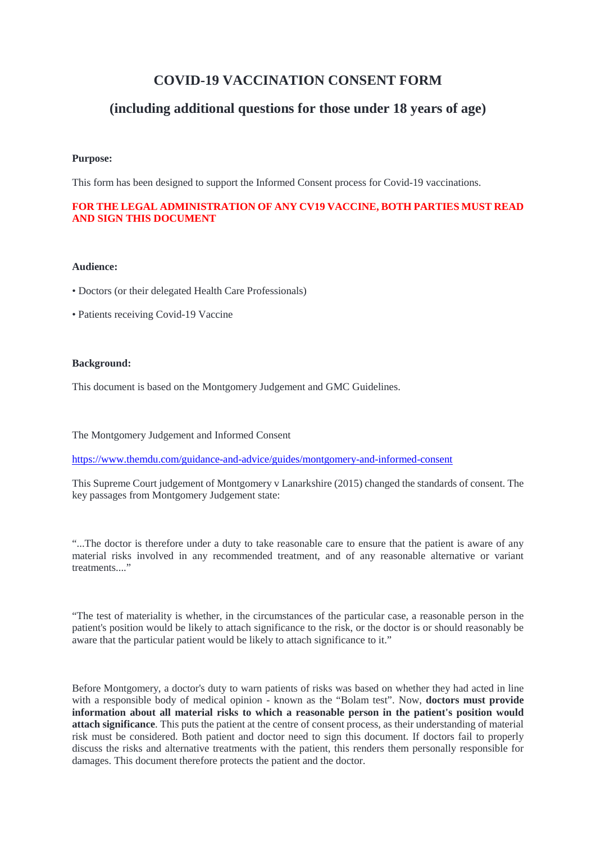# **COVID-19 VACCINATION CONSENT FORM**

### **(including additional questions for those under 18 years of age)**

#### **Purpose:**

This form has been designed to support the Informed Consent process for Covid-19 vaccinations.

#### **FOR THE LEGAL ADMINISTRATION OF ANY CV19 VACCINE, BOTH PARTIES MUST READ AND SIGN THIS DOCUMENT**

#### **Audience:**

- Doctors (or their delegated Health Care Professionals)
- Patients receiving Covid-19 Vaccine

#### **Background:**

This document is based on the Montgomery Judgement and GMC Guidelines.

The Montgomery Judgement and Informed Consent

<https://www.themdu.com/guidance-and-advice/guides/montgomery-and-informed-consent>

This Supreme Court judgement of Montgomery v Lanarkshire (2015) changed the standards of consent. The key passages from Montgomery Judgement state:

"...The doctor is therefore under a duty to take reasonable care to ensure that the patient is aware of any material risks involved in any recommended treatment, and of any reasonable alternative or variant treatments..."

"The test of materiality is whether, in the circumstances of the particular case, a reasonable person in the patient's position would be likely to attach significance to the risk, or the doctor is or should reasonably be aware that the particular patient would be likely to attach significance to it."

Before Montgomery, a doctor's duty to warn patients of risks was based on whether they had acted in line with a responsible body of medical opinion - known as the "Bolam test". Now, **doctors must provide information about all material risks to which a reasonable person in the patient's position would attach significance**. This puts the patient at the centre of consent process, as their understanding of material risk must be considered. Both patient and doctor need to sign this document. If doctors fail to properly discuss the risks and alternative treatments with the patient, this renders them personally responsible for damages. This document therefore protects the patient and the doctor.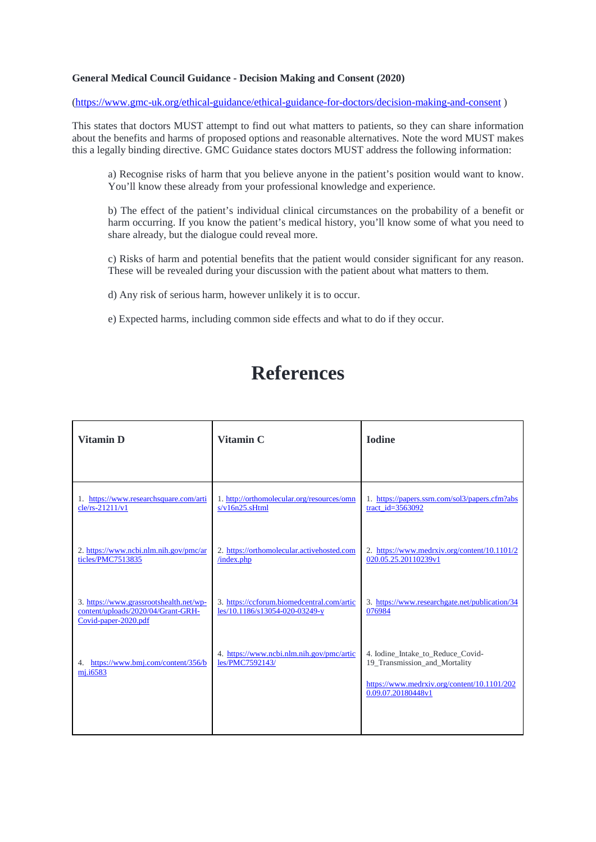#### **General Medical Council Guidance - Decision Making and Consent (2020)**

[\(https://www.gmc-uk.org/ethical-guidance/ethical-guidance-for-doctors/decision-making-and-consent](https://www.gmc-uk.org/ethical-guidance/ethical-guidance-for-doctors/decision-making-and-consent) )

This states that doctors MUST attempt to find out what matters to patients, so they can share information about the benefits and harms of proposed options and reasonable alternatives. Note the word MUST makes this a legally binding directive. GMC Guidance states doctors MUST address the following information:

a) Recognise risks of harm that you believe anyone in the patient's position would want to know. You'll know these already from your professional knowledge and experience.

b) The effect of the patient's individual clinical circumstances on the probability of a benefit or harm occurring. If you know the patient's medical history, you'll know some of what you need to share already, but the dialogue could reveal more.

c) Risks of harm and potential benefits that the patient would consider significant for any reason. These will be revealed during your discussion with the patient about what matters to them.

d) Any risk of serious harm, however unlikely it is to occur.

e) Expected harms, including common side effects and what to do if they occur.

# **References**

| <b>Vitamin D</b>                                                                                      | Vitamin C                                                                    | <b>Iodine</b>                                                                                                                           |
|-------------------------------------------------------------------------------------------------------|------------------------------------------------------------------------------|-----------------------------------------------------------------------------------------------------------------------------------------|
|                                                                                                       |                                                                              |                                                                                                                                         |
| 1. https://www.researchsquare.com/arti<br>cle/rs-21211/v1                                             | 1. http://orthomolecular.org/resources/omn<br>s/v16n25.sHtml                 | 1. https://papers.ssrn.com/sol3/papers.cfm?abs<br>tract_id= $3563092$                                                                   |
| 2. https://www.ncbi.nlm.nih.gov/pmc/ar<br>ticles/PMC7513835                                           | 2. https://orthomolecular.activehosted.com<br>/index.php                     | 2. https://www.medrxiv.org/content/10.1101/2<br>020.05.25.20110239v1                                                                    |
| 3. https://www.grassrootshealth.net/wp-<br>content/uploads/2020/04/Grant-GRH-<br>Covid-paper-2020.pdf | 3. https://ccforum.biomedcentral.com/artic<br>les/10.1186/s13054-020-03249-y | 3. https://www.researchgate.net/publication/34<br>076984                                                                                |
| https://www.bmj.com/content/356/b<br>4.<br>mj.i6583                                                   | 4. https://www.ncbi.nlm.nih.gov/pmc/artic<br>les/PMC7592143/                 | 4. Iodine_Intake_to_Reduce_Covid-<br>19_Transmission_and_Mortality<br>https://www.medrxiv.org/content/10.1101/202<br>0.09.07.20180448v1 |
|                                                                                                       |                                                                              |                                                                                                                                         |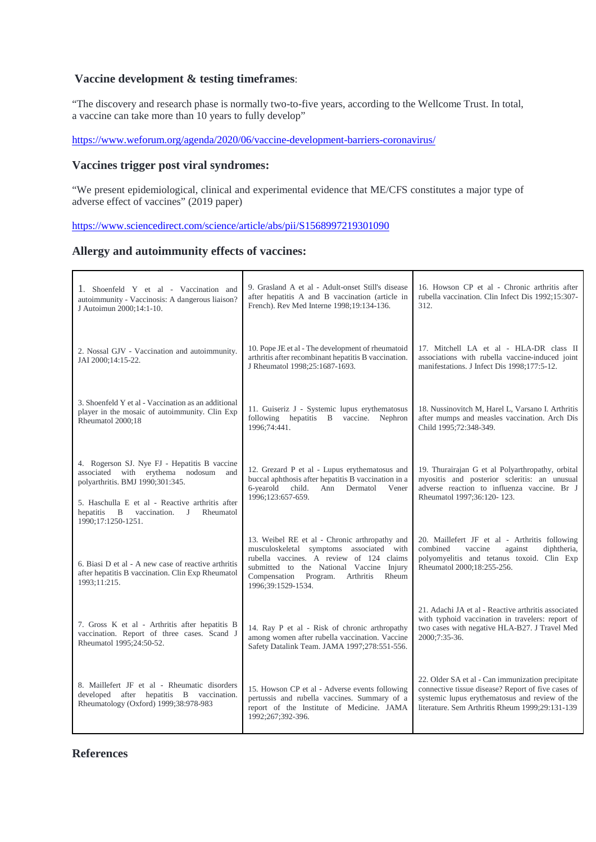#### **Vaccine development & testing timeframes**:

"The discovery and research phase is normally two-to-five years, according to the Wellcome Trust. In total, a vaccine can take more than 10 years to fully develop"

<https://www.weforum.org/agenda/2020/06/vaccine-development-barriers-coronavirus/>

#### **Vaccines trigger post viral syndromes:**

"We present epidemiological, clinical and experimental evidence that ME/CFS constitutes a major type of adverse effect of vaccines" (2019 paper)

<https://www.sciencedirect.com/science/article/abs/pii/S1568997219301090>

#### **Allergy and autoimmunity effects of vaccines:**

| 1. Shoenfeld Y et al - Vaccination and<br>autoimmunity - Vaccinosis: A dangerous liaison?<br>J Autoimun 2000;14:1-10.                                                                                                                           | 9. Grasland A et al - Adult-onset Still's disease<br>after hepatitis A and B vaccination (article in<br>French). Rev Med Interne 1998;19:134-136.                                                                                                   | 16. Howson CP et al - Chronic arthritis after<br>rubella vaccination. Clin Infect Dis 1992;15:307-<br>312.                                                                                                   |
|-------------------------------------------------------------------------------------------------------------------------------------------------------------------------------------------------------------------------------------------------|-----------------------------------------------------------------------------------------------------------------------------------------------------------------------------------------------------------------------------------------------------|--------------------------------------------------------------------------------------------------------------------------------------------------------------------------------------------------------------|
| 2. Nossal GJV - Vaccination and autoimmunity.<br>JAI 2000;14:15-22.                                                                                                                                                                             | 10. Pope JE et al - The development of rheumatoid<br>arthritis after recombinant hepatitis B vaccination.<br>J Rheumatol 1998;25:1687-1693.                                                                                                         | 17. Mitchell LA et al - HLA-DR class II<br>associations with rubella vaccine-induced joint<br>manifestations. J Infect Dis 1998;177:5-12.                                                                    |
| 3. Shoenfeld Y et al - Vaccination as an additional<br>player in the mosaic of autoimmunity. Clin Exp<br>Rheumatol 2000;18                                                                                                                      | 11. Guiseriz J - Systemic lupus erythematosus<br>following hepatitis B vaccine. Nephron<br>1996;74:441.                                                                                                                                             | 18. Nussinovitch M, Harel L, Varsano I. Arthritis<br>after mumps and measles vaccination. Arch Dis<br>Child 1995;72:348-349.                                                                                 |
| 4. Rogerson SJ. Nye FJ - Hepatitis B vaccine<br>associated with erythema nodosum and<br>polyarthritis. BMJ 1990;301:345.<br>5. Haschulla E et al - Reactive arthritis after<br>vaccination. J<br>Rheumatol<br>hepatitis B<br>1990;17:1250-1251. | 12. Grezard P et al - Lupus erythematosus and<br>buccal aphthosis after hepatitis B vaccination in a<br>6-yearold child.<br>Ann Dermatol Vener<br>1996;123:657-659.                                                                                 | 19. Thurairajan G et al Polyarthropathy, orbital<br>myositis and posterior scleritis: an unusual<br>adverse reaction to influenza vaccine. Br J<br>Rheumatol 1997;36:120-123.                                |
| 6. Biasi D et al - A new case of reactive arthritis<br>after hepatitis B vaccination. Clin Exp Rheumatol<br>1993;11:215.                                                                                                                        | 13. Weibel RE et al - Chronic arthropathy and<br>musculoskeletal symptoms associated with<br>rubella vaccines. A review of 124 claims<br>submitted to the National Vaccine Injury<br>Compensation Program. Arthritis<br>Rheum<br>1996;39:1529-1534. | 20. Maillefert JF et al - Arthritis following<br>combined<br>vaccine<br>against<br>diphtheria,<br>polyomyelitis and tetanus toxoid. Clin Exp<br>Rheumatol 2000;18:255-256.                                   |
| 7. Gross K et al - Arthritis after hepatitis B<br>vaccination. Report of three cases. Scand J<br>Rheumatol 1995;24:50-52.                                                                                                                       | 14. Ray P et al - Risk of chronic arthropathy<br>among women after rubella vaccination. Vaccine<br>Safety Datalink Team. JAMA 1997;278:551-556.                                                                                                     | 21. Adachi JA et al - Reactive arthritis associated<br>with typhoid vaccination in travelers: report of<br>two cases with negative HLA-B27. J Travel Med<br>2000:7:35-36.                                    |
| 8. Maillefert JF et al - Rheumatic disorders<br>developed after hepatitis B vaccination.<br>Rheumatology (Oxford) 1999;38:978-983                                                                                                               | 15. Howson CP et al - Adverse events following<br>pertussis and rubella vaccines. Summary of a<br>report of the Institute of Medicine. JAMA<br>1992;267;392-396.                                                                                    | 22. Older SA et al - Can immunization precipitate<br>connective tissue disease? Report of five cases of<br>systemic lupus erythematosus and review of the<br>literature. Sem Arthritis Rheum 1999;29:131-139 |

#### **References**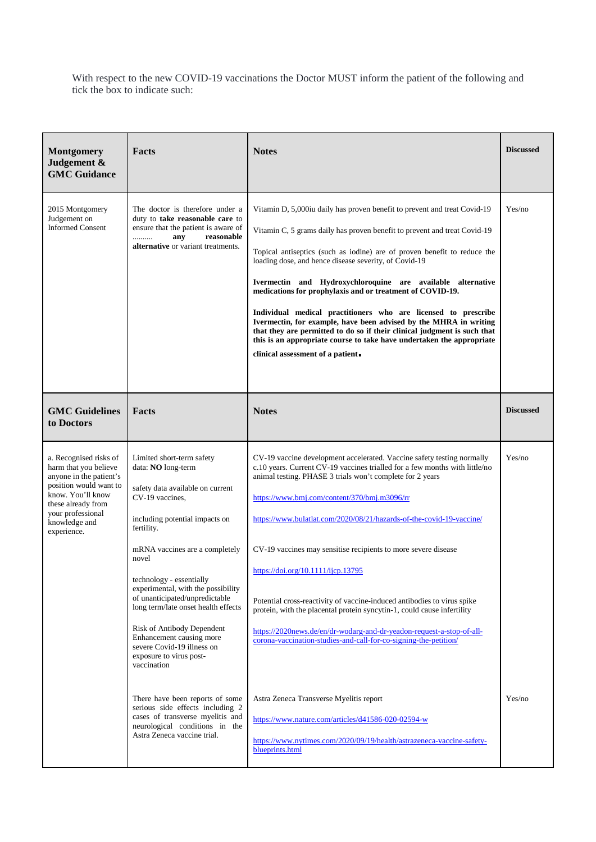With respect to the new COVID-19 vaccinations the Doctor MUST inform the patient of the following and tick the box to indicate such:

| <b>Montgomery</b><br>Judgement &<br><b>GMC Guidance</b>                                                                                                                                              | Facts                                                                                                                                                                                                                                                                                                                                                                                                                                                                                                             | <b>Notes</b>                                                                                                                                                                                                                                                                                                                                                                                                                                                                                                                                                                                                                                                                                                                                                                                     | <b>Discussed</b> |
|------------------------------------------------------------------------------------------------------------------------------------------------------------------------------------------------------|-------------------------------------------------------------------------------------------------------------------------------------------------------------------------------------------------------------------------------------------------------------------------------------------------------------------------------------------------------------------------------------------------------------------------------------------------------------------------------------------------------------------|--------------------------------------------------------------------------------------------------------------------------------------------------------------------------------------------------------------------------------------------------------------------------------------------------------------------------------------------------------------------------------------------------------------------------------------------------------------------------------------------------------------------------------------------------------------------------------------------------------------------------------------------------------------------------------------------------------------------------------------------------------------------------------------------------|------------------|
| 2015 Montgomery<br>Judgement on<br><b>Informed Consent</b>                                                                                                                                           | The doctor is therefore under a<br>duty to take reasonable care to<br>ensure that the patient is aware of<br>reasonable<br>any<br>.<br>alternative or variant treatments.                                                                                                                                                                                                                                                                                                                                         | Vitamin D, 5,000iu daily has proven benefit to prevent and treat Covid-19<br>Vitamin C, 5 grams daily has proven benefit to prevent and treat Covid-19<br>Topical antiseptics (such as iodine) are of proven benefit to reduce the<br>loading dose, and hence disease severity, of Covid-19<br>Ivermectin and Hydroxychloroquine are available alternative<br>medications for prophylaxis and or treatment of COVID-19.<br>Individual medical practitioners who are licensed to prescribe<br>Ivermectin, for example, have been advised by the MHRA in writing<br>that they are permitted to do so if their clinical judgment is such that<br>this is an appropriate course to take have undertaken the appropriate<br>clinical assessment of a patient.                                         | Yes/no           |
| <b>GMC Guidelines</b><br>to Doctors                                                                                                                                                                  | Facts                                                                                                                                                                                                                                                                                                                                                                                                                                                                                                             | <b>Notes</b>                                                                                                                                                                                                                                                                                                                                                                                                                                                                                                                                                                                                                                                                                                                                                                                     | <b>Discussed</b> |
| a. Recognised risks of<br>harm that you believe<br>anyone in the patient's<br>position would want to<br>know. You'll know<br>these already from<br>your professional<br>knowledge and<br>experience. | Limited short-term safety<br>data: NO long-term<br>safety data available on current<br>CV-19 vaccines,<br>including potential impacts on<br>fertility.<br>mRNA vaccines are a completely<br>novel<br>technology - essentially<br>experimental, with the possibility<br>of unanticipated/unpredictable<br>long term/late onset health effects<br>Risk of Antibody Dependent<br>Enhancement causing more<br>severe Covid-19 illness on<br>exposure to virus post-<br>vaccination<br>There have been reports of some | CV-19 vaccine development accelerated. Vaccine safety testing normally<br>c.10 years. Current CV-19 vaccines trialled for a few months with little/no<br>animal testing. PHASE 3 trials won't complete for 2 years<br>https://www.bmj.com/content/370/bmj.m3096/rr<br>https://www.bulatlat.com/2020/08/21/hazards-of-the-covid-19-vaccine/<br>CV-19 vaccines may sensitise recipients to more severe disease<br>https://doi.org/10.1111/ijcp.13795<br>Potential cross-reactivity of vaccine-induced antibodies to virus spike<br>protein, with the placental protein syncytin-1, could cause infertility<br>https://2020news.de/en/dr-wodarg-and-dr-yeadon-request-a-stop-of-all-<br>corona-vaccination-studies-and-call-for-co-signing-the-petition/<br>Astra Zeneca Transverse Myelitis report | Yes/no<br>Yes/no |
|                                                                                                                                                                                                      | serious side effects including 2<br>cases of transverse myelitis and<br>neurological conditions in the<br>Astra Zeneca vaccine trial.                                                                                                                                                                                                                                                                                                                                                                             | https://www.nature.com/articles/d41586-020-02594-w<br>https://www.nytimes.com/2020/09/19/health/astrazeneca-vaccine-safety-<br>blueprints.html                                                                                                                                                                                                                                                                                                                                                                                                                                                                                                                                                                                                                                                   |                  |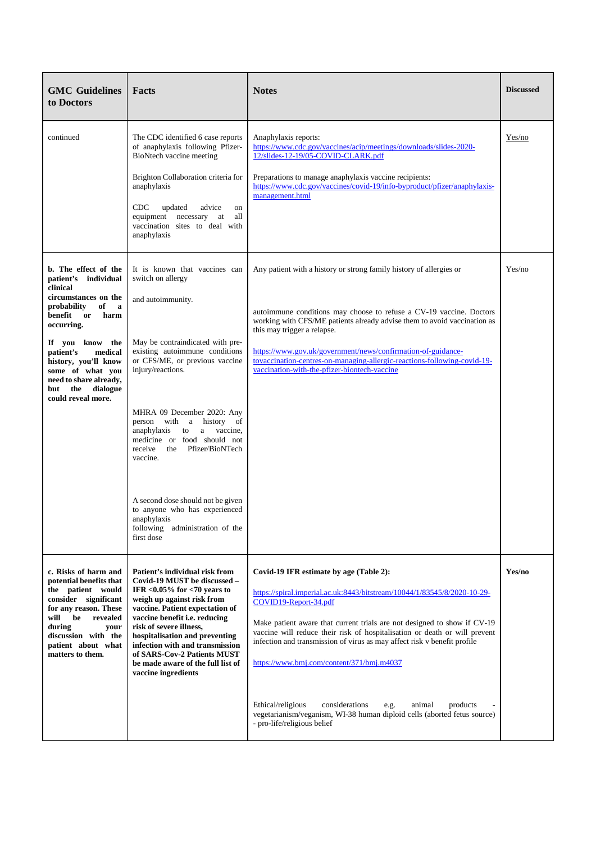| <b>GMC</b> Guidelines<br>to Doctors                                                                                                                                                                                                                                                                             | Facts                                                                                                                                                                                                                                                                                                                                                                                                                                                                                                                      | <b>Notes</b>                                                                                                                                                                                                                                                                                                                                                                                                                                                                                                                                                                                                    | <b>Discussed</b> |
|-----------------------------------------------------------------------------------------------------------------------------------------------------------------------------------------------------------------------------------------------------------------------------------------------------------------|----------------------------------------------------------------------------------------------------------------------------------------------------------------------------------------------------------------------------------------------------------------------------------------------------------------------------------------------------------------------------------------------------------------------------------------------------------------------------------------------------------------------------|-----------------------------------------------------------------------------------------------------------------------------------------------------------------------------------------------------------------------------------------------------------------------------------------------------------------------------------------------------------------------------------------------------------------------------------------------------------------------------------------------------------------------------------------------------------------------------------------------------------------|------------------|
| continued                                                                                                                                                                                                                                                                                                       | The CDC identified 6 case reports<br>of anaphylaxis following Pfizer-<br>BioNtech vaccine meeting<br>Brighton Collaboration criteria for<br>anaphylaxis<br><b>CDC</b><br>updated<br>advice<br>on<br>equipment necessary at<br>all<br>vaccination sites to deal with<br>anaphylaxis                                                                                                                                                                                                                                         | Anaphylaxis reports:<br>https://www.cdc.gov/vaccines/acip/meetings/downloads/slides-2020-<br>12/slides-12-19/05-COVID-CLARK.pdf<br>Preparations to manage anaphylaxis vaccine recipients:<br>https://www.cdc.gov/vaccines/covid-19/info-byproduct/pfizer/anaphylaxis-<br>management.html                                                                                                                                                                                                                                                                                                                        | Yes/no           |
| b. The effect of the<br>patient's<br>individual<br>clinical<br>circumstances on the<br>probability<br>of<br>a<br>benefit or<br>harm<br>occurring.<br>If you know the<br>patient's<br>medical<br>history, you'll know<br>some of what you<br>need to share already,<br>the dialogue<br>but<br>could reveal more. | It is known that vaccines can<br>switch on allergy<br>and autoimmunity.<br>May be contraindicated with pre-<br>existing autoimmune conditions<br>or CFS/ME, or previous vaccine<br>injury/reactions.<br>MHRA 09 December 2020: Any<br>person with a history<br>of<br>a vaccine,<br>anaphylaxis<br>to<br>medicine or food should not<br>Pfizer/BioNTech<br>receive the<br>vaccine.<br>A second dose should not be given<br>to anyone who has experienced<br>anaphylaxis<br>following<br>administration of the<br>first dose | Any patient with a history or strong family history of allergies or<br>autoimmune conditions may choose to refuse a CV-19 vaccine. Doctors<br>working with CFS/ME patients already advise them to avoid vaccination as<br>this may trigger a relapse.<br>https://www.gov.uk/government/news/confirmation-of-guidance-<br>tovaccination-centres-on-managing-allergic-reactions-following-covid-19-<br>vaccination-with-the-pfizer-biontech-vaccine                                                                                                                                                               | Yes/no           |
| c. Risks of harm and<br>potential benefits that<br>the patient would<br>consider significant<br>for any reason. These<br>be<br>revealed<br>will<br>during<br>your<br>discussion with the<br>patient about what<br>matters to them.                                                                              | Patient's individual risk from<br>Covid-19 MUST be discussed -<br>IFR $<0.05\%$ for $<70$ years to<br>weigh up against risk from<br>vaccine. Patient expectation of<br>vaccine benefit i.e. reducing<br>risk of severe illness,<br>hospitalisation and preventing<br>infection with and transmission<br>of SARS-Cov-2 Patients MUST<br>be made aware of the full list of<br>vaccine ingredients                                                                                                                            | Covid-19 IFR estimate by age (Table 2):<br>https://spiral.imperial.ac.uk:8443/bitstream/10044/1/83545/8/2020-10-29-<br>COVID19-Report-34.pdf<br>Make patient aware that current trials are not designed to show if CV-19<br>vaccine will reduce their risk of hospitalisation or death or will prevent<br>infection and transmission of virus as may affect risk v benefit profile<br>https://www.bmj.com/content/371/bmj.m4037<br>Ethical/religious<br>considerations<br>animal<br>e.g.<br>products<br>vegetarianism/veganism, WI-38 human diploid cells (aborted fetus source)<br>- pro-life/religious belief | Yes/no           |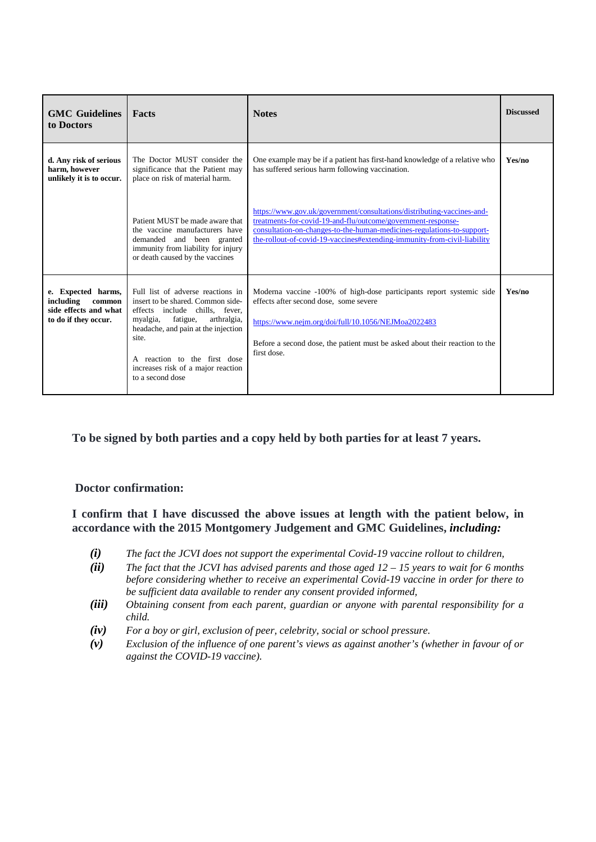| <b>GMC</b> Guidelines<br>to Doctors                                                        | Facts                                                                                                                                                                                                                                                                                  | <b>Notes</b>                                                                                                                                                                                                                                                                                 | <b>Discussed</b> |
|--------------------------------------------------------------------------------------------|----------------------------------------------------------------------------------------------------------------------------------------------------------------------------------------------------------------------------------------------------------------------------------------|----------------------------------------------------------------------------------------------------------------------------------------------------------------------------------------------------------------------------------------------------------------------------------------------|------------------|
| d. Any risk of serious<br>harm, however<br>unlikely it is to occur.                        | The Doctor MUST consider the<br>significance that the Patient may<br>place on risk of material harm.                                                                                                                                                                                   | One example may be if a patient has first-hand knowledge of a relative who<br>has suffered serious harm following vaccination.                                                                                                                                                               | Yes/no           |
|                                                                                            | Patient MUST be made aware that<br>the vaccine manufacturers have<br>demanded and been granted<br>immunity from liability for injury<br>or death caused by the vaccines                                                                                                                | https://www.gov.uk/government/consultations/distributing-vaccines-and-<br>treatments-for-covid-19-and-flu/outcome/government-response-<br>consultation-on-changes-to-the-human-medicines-regulations-to-support-<br>the-rollout-of-covid-19-vaccines#extending-immunity-from-civil-liability |                  |
| e. Expected harms,<br>including<br>common<br>side effects and what<br>to do if they occur. | Full list of adverse reactions in<br>insert to be shared. Common side-<br>effects include chills, fever,<br>myalgia, fatigue,<br>arthralgia,<br>headache, and pain at the injection<br>site.<br>A reaction to the first dose<br>increases risk of a major reaction<br>to a second dose | Moderna vaccine -100% of high-dose participants report systemic side<br>effects after second dose, some severe<br>https://www.nejm.org/doi/full/10.1056/NEJMoa2022483<br>Before a second dose, the patient must be asked about their reaction to the<br>first dose.                          | Yes/no           |

**To be signed by both parties and a copy held by both parties for at least 7 years.**

#### **Doctor confirmation:**

**I confirm that I have discussed the above issues at length with the patient below, in accordance with the 2015 Montgomery Judgement and GMC Guidelines,** *including:*

- *(i) The fact the JCVI does not support the experimental Covid-19 vaccine rollout to children,*
- *(ii) The fact that the JCVI has advised parents and those aged 12 – 15 years to wait for 6 months before considering whether to receive an experimental Covid-19 vaccine in order for there to be sufficient data available to render any consent provided informed,*
- *(iii) Obtaining consent from each parent, guardian or anyone with parental responsibility for a child.*
- *(iv) For a boy or girl, exclusion of peer, celebrity, social or school pressure.*
- *(v) Exclusion of the influence of one parent's views as against another's (whether in favour of or against the COVID-19 vaccine).*